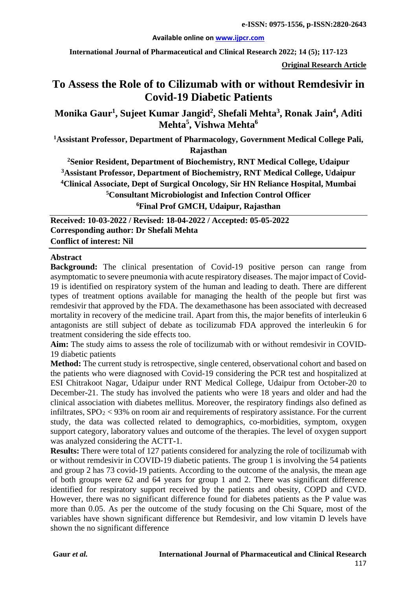#### **Available online on [www.ijpcr.com](http://www.ijpcr.com/)**

**International Journal of Pharmaceutical and Clinical Research 2022; 14 (5); 117-123**

**Original Research Article**

# **To Assess the Role of to Cilizumab with or without Remdesivir in Covid-19 Diabetic Patients**

**Monika Gaur1 , Sujeet Kumar Jangid2 , Shefali Mehta<sup>3</sup> , Ronak Jain4 , Aditi**   $\mathbf{Mehta}^5, \mathbf{Vishwa}\ \mathbf{Mehta}^6$ 

**1 Assistant Professor, Department of Pharmacology, Government Medical College Pali, Rajasthan**

**2 Senior Resident, Department of Biochemistry, RNT Medical College, Udaipur 3 Assistant Professor, Department of Biochemistry, RNT Medical College, Udaipur 4 Clinical Associate, Dept of Surgical Oncology, Sir HN Reliance Hospital, Mumbai 5Consultant Microbiologist and Infection Control Officer 6Final Prof GMCH, Udaipur, Rajasthan**

**Received: 10-03-2022 / Revised: 18-04-2022 / Accepted: 05-05-2022 Corresponding author: Dr Shefali Mehta Conflict of interest: Nil**

#### **Abstract**

**Background:** The clinical presentation of Covid-19 positive person can range from asymptomatic to severe pneumonia with acute respiratory diseases. The major impact of Covid-19 is identified on respiratory system of the human and leading to death. There are different types of treatment options available for managing the health of the people but first was remdesivir that approved by the FDA. The dexamethasone has been associated with decreased mortality in recovery of the medicine trail. Apart from this, the major benefits of interleukin 6 antagonists are still subject of debate as tocilizumab FDA approved the interleukin 6 for treatment considering the side effects too.

**Aim:** The study aims to assess the role of tocilizumab with or without remdesivir in COVID-19 diabetic patients

**Method:** The current study is retrospective, single centered, observational cohort and based on the patients who were diagnosed with Covid-19 considering the PCR test and hospitalized at ESI Chitrakoot Nagar, Udaipur under RNT Medical College, Udaipur from October-20 to December-21. The study has involved the patients who were 18 years and older and had the clinical association with diabetes mellitus. Moreover, the respiratory findings also defined as infiltrates,  $SPO<sub>2</sub> < 93%$  on room air and requirements of respiratory assistance. For the current study, the data was collected related to demographics, co-morbidities, symptom, oxygen support category, laboratory values and outcome of the therapies. The level of oxygen support was analyzed considering the ACTT-1.

**Results:** There were total of 127 patients considered for analyzing the role of tocilizumab with or without remdesivir in COVID-19 diabetic patients. The group 1 is involving the 54 patients and group 2 has 73 covid-19 patients. According to the outcome of the analysis, the mean age of both groups were 62 and 64 years for group 1 and 2. There was significant difference identified for respiratory support received by the patients and obesity, COPD and CVD. However, there was no significant difference found for diabetes patients as the P value was more than 0.05. As per the outcome of the study focusing on the Chi Square, most of the variables have shown significant difference but Remdesivir, and low vitamin D levels have shown the no significant difference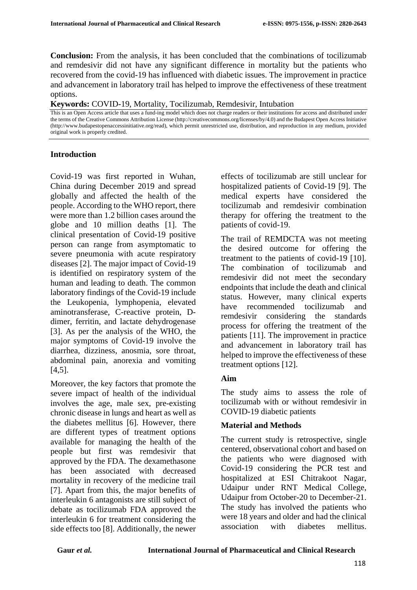**Conclusion:** From the analysis, it has been concluded that the combinations of tocilizumab and remdesivir did not have any significant difference in mortality but the patients who recovered from the covid-19 has influenced with diabetic issues. The improvement in practice and advancement in laboratory trail has helped to improve the effectiveness of these treatment options.

**Keywords:** COVID-19, Mortality, Tocilizumab, Remdesivir, Intubation

This is an Open Access article that uses a fund-ing model which does not charge readers or their institutions for access and distributed under the terms of the Creative Commons Attribution License (http://creativecommons.org/licenses/by/4.0) and the Budapest Open Access Initiative (http://www.budapestopenaccessinitiative.org/read), which permit unrestricted use, distribution, and reproduction in any medium, provided original work is properly credited.

### **Introduction**

Covid-19 was first reported in Wuhan, China during December 2019 and spread globally and affected the health of the people. According to the WHO report, there were more than 1.2 billion cases around the globe and 10 million deaths [1]. The clinical presentation of Covid-19 positive person can range from asymptomatic to severe pneumonia with acute respiratory diseases [2]. The major impact of Covid-19 is identified on respiratory system of the human and leading to death. The common laboratory findings of the Covid-19 include the Leukopenia, lymphopenia, elevated aminotransferase, C-reactive protein, Ddimer, ferritin, and lactate dehydrogenase [3]. As per the analysis of the WHO, the major symptoms of Covid-19 involve the diarrhea, dizziness, anosmia, sore throat, abdominal pain, anorexia and vomiting [4,5].

Moreover, the key factors that promote the severe impact of health of the individual involves the age, male sex, pre-existing chronic disease in lungs and heart as well as the diabetes mellitus [6]. However, there are different types of treatment options available for managing the health of the people but first was remdesivir that approved by the FDA. The dexamethasone has been associated with decreased mortality in recovery of the medicine trail [7]. Apart from this, the major benefits of interleukin 6 antagonists are still subject of debate as tocilizumab FDA approved the interleukin 6 for treatment considering the side effects too [8]. Additionally, the newer

effects of tocilizumab are still unclear for hospitalized patients of Covid-19 [9]. The medical experts have considered the tocilizumab and remdesivir combination therapy for offering the treatment to the patients of covid-19.

The trail of REMDCTA was not meeting the desired outcome for offering the treatment to the patients of covid-19 [10]. The combination of tocilizumab and remdesivir did not meet the secondary endpoints that include the death and clinical status. However, many clinical experts have recommended tocilizumab and remdesivir considering the standards process for offering the treatment of the patients [11]. The improvement in practice and advancement in laboratory trail has helped to improve the effectiveness of these treatment options [12].

#### **Aim**

The study aims to assess the role of tocilizumab with or without remdesivir in COVID-19 diabetic patients

#### **Material and Methods**

The current study is retrospective, single centered, observational cohort and based on the patients who were diagnosed with Covid-19 considering the PCR test and hospitalized at ESI Chitrakoot Nagar, Udaipur under RNT Medical College, Udaipur from October-20 to December-21. The study has involved the patients who were 18 years and older and had the clinical association with diabetes mellitus.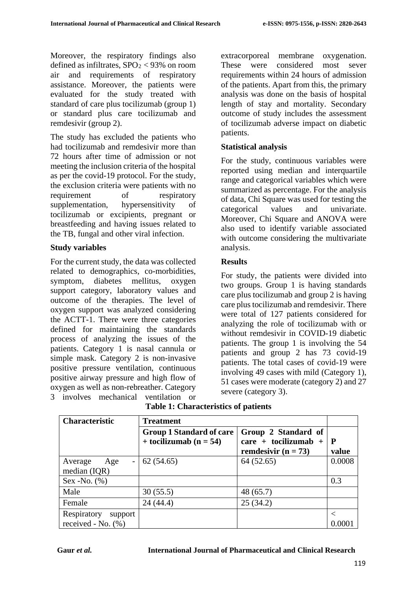Moreover, the respiratory findings also defined as infiltrates,  $SPO<sub>2</sub> < 93%$  on room air and requirements of respiratory assistance. Moreover, the patients were evaluated for the study treated with standard of care plus tocilizumab (group 1) or standard plus care tocilizumab and remdesivir (group 2).

The study has excluded the patients who had tocilizumab and remdesivir more than 72 hours after time of admission or not meeting the inclusion criteria of the hospital as per the covid-19 protocol. For the study, the exclusion criteria were patients with no requirement of respiratory supplementation, hypersensitivity of tocilizumab or excipients, pregnant or breastfeeding and having issues related to the TB, fungal and other viral infection.

## **Study variables**

For the current study, the data was collected related to demographics, co-morbidities, symptom, diabetes mellitus, oxygen support category, laboratory values and outcome of the therapies. The level of oxygen support was analyzed considering the ACTT-1. There were three categories defined for maintaining the standards process of analyzing the issues of the patients. Category 1 is nasal cannula or simple mask. Category 2 is non-invasive positive pressure ventilation, continuous positive airway pressure and high flow of oxygen as well as non-rebreather. Category

3 involves mechanical ventilation or

extracorporeal membrane oxygenation. These were considered most sever requirements within 24 hours of admission of the patients. Apart from this, the primary analysis was done on the basis of hospital length of stay and mortality. Secondary outcome of study includes the assessment of tocilizumab adverse impact on diabetic patients.

## **Statistical analysis**

For the study, continuous variables were reported using median and interquartile range and categorical variables which were summarized as percentage. For the analysis of data, Chi Square was used for testing the categorical values and univariate. Moreover, Chi Square and ANOVA were also used to identify variable associated with outcome considering the multivariate analysis.

## **Results**

For study, the patients were divided into two groups. Group 1 is having standards care plus tocilizumab and group 2 is having care plus tocilizumab and remdesivir. There were total of 127 patients considered for analyzing the role of tocilizumab with or without remdesivir in COVID-19 diabetic patients. The group 1 is involving the 54 patients and group 2 has 73 covid-19 patients. The total cases of covid-19 were involving 49 cases with mild (Category 1), 51 cases were moderate (category 2) and 27 severe (category 3).

| <b>Characteristic</b>                              | <b>Treatment</b>                                            |                                                                      |                      |
|----------------------------------------------------|-------------------------------------------------------------|----------------------------------------------------------------------|----------------------|
|                                                    | <b>Group 1 Standard of care</b><br>+ tocilizumab $(n = 54)$ | Group 2 Standard of<br>care + tocilizumab +<br>remdesivir $(n = 73)$ | $\mathbf P$<br>value |
| Average<br>Age<br>$\overline{a}$<br>median $(IQR)$ | 62(54.65)                                                   | 64(52.65)                                                            | 0.0008               |
| $Sex - No. (%)$                                    |                                                             |                                                                      | 0.3                  |
| Male                                               | 30(55.5)                                                    | 48 (65.7)                                                            |                      |
| Female                                             | 24 (44.4)                                                   | 25(34.2)                                                             |                      |
| Respiratory<br>support<br>received - No. $(\% )$   |                                                             |                                                                      |                      |

**Table 1: Characteristics of patients**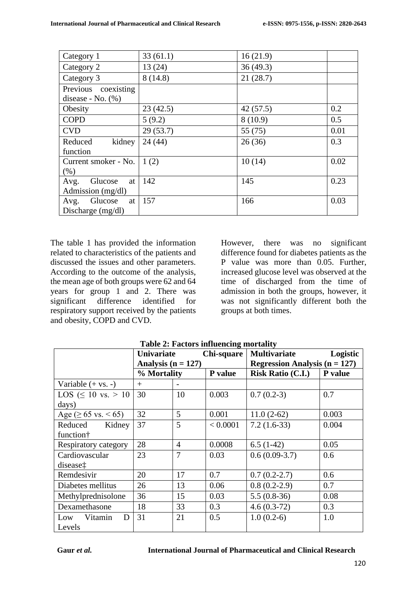| Category 1            | 33(61.1) | 16(21.9)  |      |
|-----------------------|----------|-----------|------|
| Category 2            | 13(24)   | 36(49.3)  |      |
| Category 3            | 8(14.8)  | 21(28.7)  |      |
| Previous coexisting   |          |           |      |
| disease - No. $(\% )$ |          |           |      |
| Obesity               | 23(42.5) | 42(57.5)  | 0.2  |
| <b>COPD</b>           | 5(9.2)   | 8(10.9)   | 0.5  |
| <b>CVD</b>            | 29(53.7) | 55 $(75)$ | 0.01 |
| kidney<br>Reduced     | 24(44)   | 26(36)    | 0.3  |
| function              |          |           |      |
| Current smoker - No.  | 1(2)     | 10(14)    | 0.02 |
| (%)                   |          |           |      |
| Glucose<br>Avg.<br>at | 142      | 145       | 0.23 |
| Admission $(mg/dl)$   |          |           |      |
| Glucose<br>Avg.<br>at | 157      | 166       | 0.03 |
| Discharge (mg/dl)     |          |           |      |

The table 1 has provided the information related to characteristics of the patients and discussed the issues and other parameters. According to the outcome of the analysis, the mean age of both groups were 62 and 64 years for group 1 and 2. There was significant difference identified for respiratory support received by the patients and obesity, COPD and CVD.

However, there was no significant difference found for diabetes patients as the P value was more than 0.05. Further, increased glucose level was observed at the time of discharged from the time of admission in both the groups, however, it was not significantly different both the groups at both times.

|                                | Univariate<br>Chi-square |                | <b>Multivariate</b> | Logistic                          |         |  |
|--------------------------------|--------------------------|----------------|---------------------|-----------------------------------|---------|--|
|                                | Analysis ( $n = 127$ )   |                |                     | Regression Analysis ( $n = 127$ ) |         |  |
|                                | % Mortality              |                | P value             | <b>Risk Ratio (C.I.)</b>          | P value |  |
| Variable $(+ \text{ vs. } -)$  | $+$                      |                |                     |                                   |         |  |
| $LOS \leq 10 \text{ vs.} > 10$ | 30                       | 10             | 0.003               | $0.7(0.2-3)$                      | 0.7     |  |
| days)                          |                          |                |                     |                                   |         |  |
| Age ( $\geq 65$ vs. < 65)      | 32                       | 5              | 0.001               | $11.0(2-62)$                      | 0.003   |  |
| Reduced<br>Kidney              | 37                       | 5              | < 0.0001            | $7.2(1.6-33)$                     | 0.004   |  |
| function†                      |                          |                |                     |                                   |         |  |
| Respiratory category           | 28                       | $\overline{4}$ | 0.0008              | $6.5(1-42)$                       | 0.05    |  |
| Cardiovascular                 | 23                       | 7              | 0.03                | $0.6(0.09-3.7)$                   | 0.6     |  |
| diseaset                       |                          |                |                     |                                   |         |  |
| Remdesivir                     | 20                       | 17             | 0.7                 | $0.7(0.2-2.7)$                    | 0.6     |  |
| Diabetes mellitus              | 26                       | 13             | 0.06                | $0.8(0.2-2.9)$                    | 0.7     |  |
| Methylprednisolone             | 36                       | 15             | 0.03                | $5.5(0.8-36)$                     | 0.08    |  |
| Dexamethasone                  | 18                       | 33             | 0.3                 | $4.6(0.3-72)$                     | 0.3     |  |
| Vitamin<br>Low<br>D            | 31                       | 21             | 0.5                 | $1.0(0.2-6)$                      | 1.0     |  |
| Levels                         |                          |                |                     |                                   |         |  |

**Table 2: Factors influencing mortality**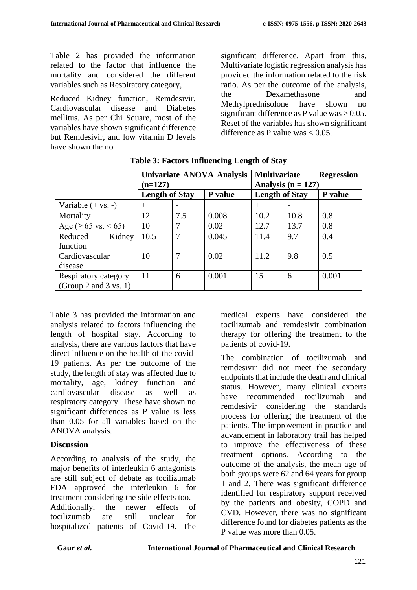Table 2 has provided the information related to the factor that influence the mortality and considered the different variables such as Respiratory category,

Reduced Kidney function, Remdesivir, Cardiovascular disease and Diabetes mellitus. As per Chi Square, most of the variables have shown significant difference but Remdesivir, and low vitamin D levels have shown the no

significant difference. Apart from this, Multivariate logistic regression analysis has provided the information related to the risk ratio. As per the outcome of the analysis, the Dexamethasone and Methylprednisolone have shown no significant difference as P value was  $> 0.05$ . Reset of the variables has shown significant difference as P value was  $< 0.05$ .

|                               | Univariate ANOVA Analysis<br>$(n=127)$ |     |         | <b>Multivariate</b><br>Analysis $(n = 127)$ | <b>Regression</b> |         |
|-------------------------------|----------------------------------------|-----|---------|---------------------------------------------|-------------------|---------|
|                               | <b>Length of Stay</b>                  |     | P value | <b>Length of Stay</b>                       |                   | P value |
| Variable $(+ \text{ vs. } -)$ | $^{+}$                                 |     |         | $^{+}$                                      |                   |         |
| Mortality                     | 12                                     | 7.5 | 0.008   | 10.2                                        | 10.8              | 0.8     |
| Age ( $\geq 65$ vs. < 65)     | 10                                     | 7   | 0.02    | 12.7                                        | 13.7              | 0.8     |
| Kidney<br>Reduced             | 10.5                                   | 7   | 0.045   | 11.4                                        | 9.7               | 0.4     |
| function                      |                                        |     |         |                                             |                   |         |
| Cardiovascular                | 10                                     | 7   | 0.02    | 11.2                                        | 9.8               | 0.5     |
| disease                       |                                        |     |         |                                             |                   |         |
| Respiratory category          | 11                                     | 6   | 0.001   | 15                                          | 6                 | 0.001   |
| (Group 2 and 3 vs. 1)         |                                        |     |         |                                             |                   |         |

**Table 3: Factors Influencing Length of Stay**

Table 3 has provided the information and analysis related to factors influencing the length of hospital stay. According to analysis, there are various factors that have direct influence on the health of the covid-19 patients. As per the outcome of the study, the length of stay was affected due to mortality, age, kidney function and cardiovascular disease as well as respiratory category. These have shown no significant differences as P value is less than 0.05 for all variables based on the ANOVA analysis.

# **Discussion**

According to analysis of the study, the major benefits of interleukin 6 antagonists are still subject of debate as tocilizumab FDA approved the interleukin 6 for treatment considering the side effects too. Additionally, the newer effects of tocilizumab are still unclear for hospitalized patients of Covid-19. The

medical experts have considered the tocilizumab and remdesivir combination therapy for offering the treatment to the patients of covid-19.

The combination of tocilizumab and remdesivir did not meet the secondary endpoints that include the death and clinical status. However, many clinical experts have recommended tocilizumab and remdesivir considering the standards process for offering the treatment of the patients. The improvement in practice and advancement in laboratory trail has helped to improve the effectiveness of these treatment options. According to the outcome of the analysis, the mean age of both groups were 62 and 64 years for group 1 and 2. There was significant difference identified for respiratory support received by the patients and obesity, COPD and CVD. However, there was no significant difference found for diabetes patients as the P value was more than 0.05.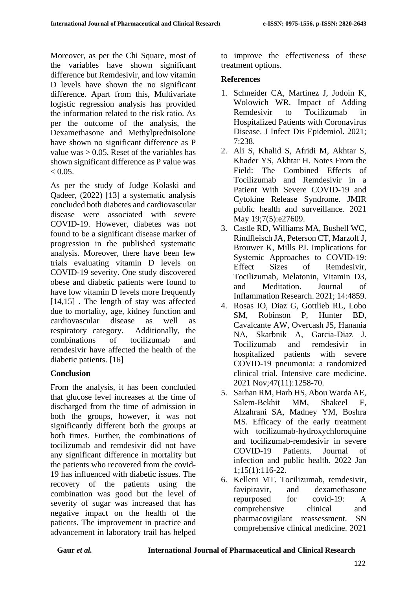Moreover, as per the Chi Square, most of the variables have shown significant difference but Remdesivir, and low vitamin D levels have shown the no significant difference. Apart from this, Multivariate logistic regression analysis has provided the information related to the risk ratio. As per the outcome of the analysis, the Dexamethasone and Methylprednisolone have shown no significant difference as P value was  $> 0.05$ . Reset of the variables has shown significant difference as P value was  $< 0.05$ .

As per the study of Judge Kolaski and Qadeer, (2022) [13] a systematic analysis concluded both diabetes and cardiovascular disease were associated with severe COVID-19. However, diabetes was not found to be a significant disease marker of progression in the published systematic analysis. Moreover, there have been few trials evaluating vitamin D levels on COVID-19 severity. One study discovered obese and diabetic patients were found to have low vitamin D levels more frequently [14,15]. The length of stay was affected due to mortality, age, kidney function and cardiovascular disease as well as respiratory category. Additionally, the combinations of tocilizumab and remdesivir have affected the health of the diabetic patients. [16]

# **Conclusion**

From the analysis, it has been concluded that glucose level increases at the time of discharged from the time of admission in both the groups, however, it was not significantly different both the groups at both times. Further, the combinations of tocilizumab and remdesivir did not have any significant difference in mortality but the patients who recovered from the covid-19 has influenced with diabetic issues. The recovery of the patients using the combination was good but the level of severity of sugar was increased that has negative impact on the health of the patients. The improvement in practice and advancement in laboratory trail has helped to improve the effectiveness of these treatment options.

## **References**

- 1. Schneider CA, Martinez J, Jodoin K, Wolowich WR. Impact of Adding Remdesivir to Tocilizumab in Hospitalized Patients with Coronavirus Disease. J Infect Dis Epidemiol. 2021; 7:238.
- 2. Ali S, Khalid S, Afridi M, Akhtar S, Khader YS, Akhtar H. Notes From the Field: The Combined Effects of Tocilizumab and Remdesivir in a Patient With Severe COVID-19 and Cytokine Release Syndrome. JMIR public health and surveillance. 2021 May 19;7(5):e27609.
- 3. Castle RD, Williams MA, Bushell WC, Rindfleisch JA, Peterson CT, Marzolf J, Brouwer K, Mills PJ. Implications for Systemic Approaches to COVID-19: Effect Sizes of Remdesivir, Tocilizumab, Melatonin, Vitamin D3, and Meditation. Journal of Inflammation Research. 2021; 14:4859.
- 4. Rosas IO, Diaz G, Gottlieb RL, Lobo SM, Robinson P, Hunter BD, Cavalcante AW, Overcash JS, Hanania NA, Skarbnik A, Garcia-Diaz J. Tocilizumab and remdesivir in hospitalized patients with severe COVID-19 pneumonia: a randomized clinical trial. Intensive care medicine. 2021 Nov;47(11):1258-70.
- 5. Sarhan RM, Harb HS, Abou Warda AE, Salem-Bekhit MM, Shakeel F, Alzahrani SA, Madney YM, Boshra MS. Efficacy of the early treatment with tocilizumab-hydroxychloroquine and tocilizumab-remdesivir in severe COVID-19 Patients. Journal of infection and public health. 2022 Jan 1;15(1):116-22.
- 6. Kelleni MT. Tocilizumab, remdesivir, favipiravir, and dexamethasone repurposed for covid-19: A comprehensive clinical and pharmacovigilant reassessment. SN comprehensive clinical medicine. 2021